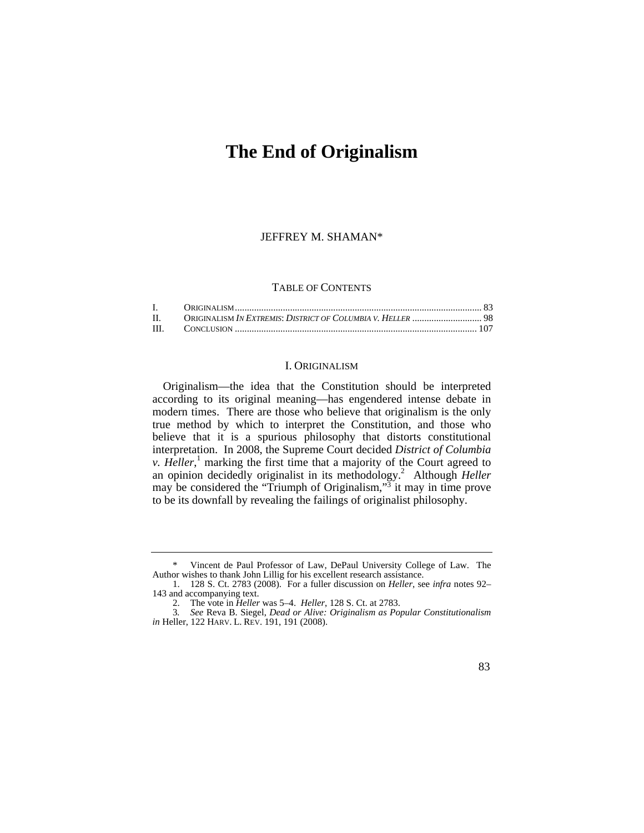# **The End of Originalism**

JEFFREY M. SHAMAN\*

#### TABLE OF CONTENTS

| $\mathbf{II}$ . |  |
|-----------------|--|
|                 |  |

## I. ORIGINALISM

Originalism—the idea that the Constitution should be interpreted according to its original meaning—has engendered intense debate in modern times. There are those who believe that originalism is the only true method by which to interpret the Constitution, and those who believe that it is a spurious philosophy that distorts constitutional interpretation. In 2008, the Supreme Court decided *District of Columbia v. Heller*,<sup>1</sup> marking the first time that a majority of the Court agreed to an opinion decidedly originalist in its methodology.<sup>2</sup> Although *Heller* may be considered the "Triumph of Originalism," $\frac{3}{1}$  it may in time prove to be its downfall by revealing the failings of originalist philosophy.

 *in* Heller, 122 HARV. L. REV. 191, 191 (2008). 3*. See* Reva B. Siegel, *Dead or Alive: Originalism as Popular Constitutionalism* 



Vincent de Paul Professor of Law, DePaul University College of Law. The Author wishes to thank John Lillig for his excellent research assistance.

<sup>1. 128</sup> S. Ct. 2783 (2008). For a fuller discussion on *Heller*, see *infra* notes 92– 143 and accompanying text.

<sup>2.</sup> The vote in *Heller* was 5–4. *Heller*, 128 S. Ct. at 2783.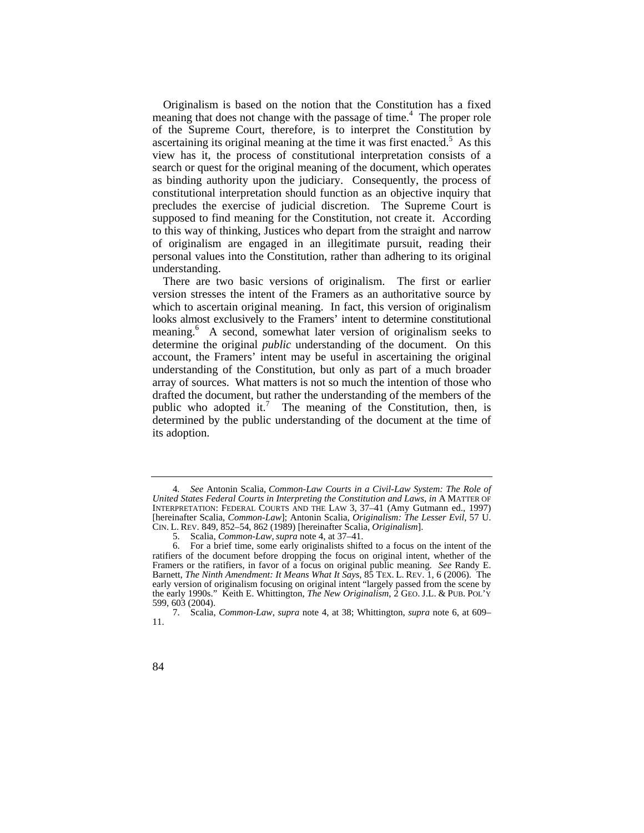personal values into the Constitution, rather than adhering to its original Originalism is based on the notion that the Constitution has a fixed meaning that does not change with the passage of time. $4$  The proper role of the Supreme Court, therefore, is to interpret the Constitution by ascertaining its original meaning at the time it was first enacted. $5$  As this view has it, the process of constitutional interpretation consists of a search or quest for the original meaning of the document, which operates as binding authority upon the judiciary. Consequently, the process of constitutional interpretation should function as an objective inquiry that precludes the exercise of judicial discretion. The Supreme Court is supposed to find meaning for the Constitution, not create it. According to this way of thinking, Justices who depart from the straight and narrow of originalism are engaged in an illegitimate pursuit, reading their understanding.

meaning.<sup>6</sup> A second, somewhat later version of originalism seeks to There are two basic versions of originalism. The first or earlier version stresses the intent of the Framers as an authoritative source by which to ascertain original meaning. In fact, this version of originalism looks almost exclusively to the Framers' intent to determine constitutional determine the original *public* understanding of the document. On this account, the Framers' intent may be useful in ascertaining the original understanding of the Constitution, but only as part of a much broader array of sources. What matters is not so much the intention of those who drafted the document, but rather the understanding of the members of the public who adopted it.<sup>7</sup> The meaning of the Constitution, then, is determined by the public understanding of the document at the time of its adoption.

 CIN. L. REV. 849, 852–54, 862 (1989) [hereinafter Scalia, *Originalism*]. 4*. See* Antonin Scalia, *Common-Law Courts in a Civil-Law System: The Role of United States Federal Courts in Interpreting the Constitution and Laws*, *in* A MATTER OF INTERPRETATION: FEDERAL COURTS AND THE LAW 3, 37–41 (Amy Gutmann ed., 1997) [hereinafter Scalia, *Common-Law*]; Antonin Scalia, *Originalism: The Lesser Evil*, 57 U.

<sup>5.</sup> Scalia, *Common-Law*, *supra* note 4, at 37–41.

 Framers or the ratifiers, in favor of a focus on original public meaning. *See* Randy E. Barnett, *The Ninth Amendment: It Means What It Says*, 85 TEX. L. REV. 1, 6 (2006). The the early 1990s." Keith E. Whittington, *The New Originalism*, 2 GEO. J.L. & PUB. POL'Y 6. For a brief time, some early originalists shifted to a focus on the intent of the ratifiers of the document before dropping the focus on original intent, whether of the early version of originalism focusing on original intent "largely passed from the scene by 599, 603 (2004).

<sup>7.</sup> Scalia, *Common-Law*, *supra* note 4, at 38; Whittington, *supra* note 6, at 609– 11.

<sup>84</sup>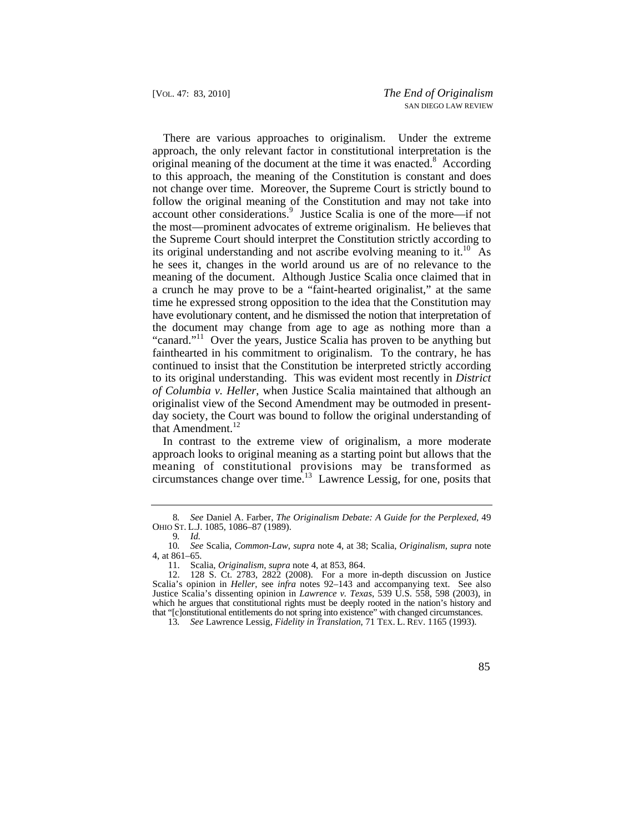not change over time. Moreover, the Supreme Court is strictly bound to the most—prominent advocates of extreme originalism. He believes that There are various approaches to originalism. Under the extreme approach, the only relevant factor in constitutional interpretation is the original meaning of the document at the time it was enacted.<sup>8</sup> According to this approach, the meaning of the Constitution is constant and does follow the original meaning of the Constitution and may not take into account other considerations.<sup>9</sup> Justice Scalia is one of the more—if not the Supreme Court should interpret the Constitution strictly according to its original understanding and not ascribe evolving meaning to it.<sup>10</sup> As he sees it, changes in the world around us are of no relevance to the meaning of the document. Although Justice Scalia once claimed that in a crunch he may prove to be a "faint-hearted originalist," at the same time he expressed strong opposition to the idea that the Constitution may have evolutionary content, and he dismissed the notion that interpretation of the document may change from age to age as nothing more than a "canard."<sup>11</sup> Over the years, Justice Scalia has proven to be anything but fainthearted in his commitment to originalism. To the contrary, he has continued to insist that the Constitution be interpreted strictly according to its original understanding. This was evident most recently in *District of Columbia v. Heller*, when Justice Scalia maintained that although an originalist view of the Second Amendment may be outmoded in presentday society, the Court was bound to follow the original understanding of that Amendment.<sup>12</sup>

In contrast to the extreme view of originalism, a more moderate approach looks to original meaning as a starting point but allows that the meaning of constitutional provisions may be transformed as circumstances change over time.<sup>13</sup> Lawrence Lessig, for one, posits that

85

<sup>8</sup>*. See* Daniel A. Farber, *The Originalism Debate: A Guide for the Perplexed*, 49 OHIO ST. L.J. 1085, 1086–87 (1989).

<sup>9</sup>*. Id.* 

<sup>10</sup>*. See* Scalia, *Common-Law*, *supra* note 4, at 38; Scalia, *Originalism*, *supra* note 4, at 861–65.

<sup>11.</sup> Scalia, *Originalism*, *supra* note 4, at 853, 864.

<sup>12. 128</sup> S. Ct. 2783, 2822 (2008). For a more in-depth discussion on Justice Scalia's opinion in *Heller*, see *infra* notes 92–143 and accompanying text. See also Justice Scalia's dissenting opinion in *Lawrence v. Texas*, 539 U.S. 558, 598 (2003), in which he argues that constitutional rights must be deeply rooted in the nation's history and that "[c]onstitutional entitlements do not spring into existence" with changed circumstances.

 13*. See* Lawrence Lessig, *Fidelity in Translation*, 71 TEX. L. REV. 1165 (1993).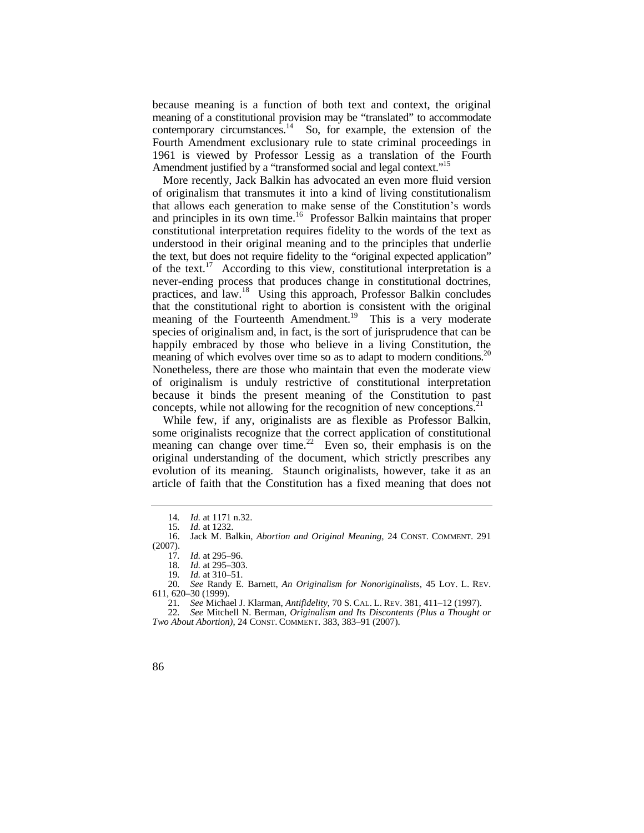contemporary circumstances. $14$  So, for example, the extension of the because meaning is a function of both text and context, the original meaning of a constitutional provision may be "translated" to accommodate Fourth Amendment exclusionary rule to state criminal proceedings in 1961 is viewed by Professor Lessig as a translation of the Fourth Amendment justified by a "transformed social and legal context."<sup>15</sup>

More recently, Jack Balkin has advocated an even more fluid version of originalism that transmutes it into a kind of living constitutionalism that allows each generation to make sense of the Constitution's words and principles in its own time.<sup>16</sup> Professor Balkin maintains that proper constitutional interpretation requires fidelity to the words of the text as understood in their original meaning and to the principles that underlie the text, but does not require fidelity to the "original expected application" of the text.<sup>17</sup> According to this view, constitutional interpretation is a never-ending process that produces change in constitutional doctrines, practices, and law.<sup>18</sup> Using this approach, Professor Balkin concludes that the constitutional right to abortion is consistent with the original meaning of the Fourteenth Amendment.<sup>19</sup> This is a very moderate species of originalism and, in fact, is the sort of jurisprudence that can be happily embraced by those who believe in a living Constitution, the meaning of which evolves over time so as to adapt to modern conditions.<sup>20</sup> Nonetheless, there are those who maintain that even the moderate view of originalism is unduly restrictive of constitutional interpretation because it binds the present meaning of the Constitution to past concepts, while not allowing for the recognition of new conceptions.  $2<sup>1</sup>$ 

While few, if any, originalists are as flexible as Professor Balkin, some originalists recognize that the correct application of constitutional meaning can change over time.<sup>22</sup> Even so, their emphasis is on the original understanding of the document, which strictly prescribes any evolution of its meaning. Staunch originalists, however, take it as an article of faith that the Constitution has a fixed meaning that does not

<sup>14.</sup> *Id.* at 1171 n.32.<br>15. *Id.* at 1232.

Id. at 1232.

<sup>16.</sup> Jack M. Balkin, *Abortion and Original Meaning*, 24 CONST. COMMENT. 291 (2007).

<sup>17</sup>*. Id.* at 295–96.

<sup>18</sup>*. Id.* at 295–303.

<sup>19</sup>*. Id.* at 310–51.

 20*. See* Randy E. Barnett, *An Originalism for Nonoriginalists*, 45 LOY. L. REV. 611, 620–30 (1999).

 21*. See* Michael J. Klarman, *Antifidelity*, 70 S. CAL. L. REV. 381, 411–12 (1997).

<sup>22</sup>*. See* Mitchell N. Berman, *Originalism and Its Discontents (Plus a Thought or Two About Abortion)*, 24 CONST. COMMENT. 383, 383–91 (2007).

<sup>86</sup>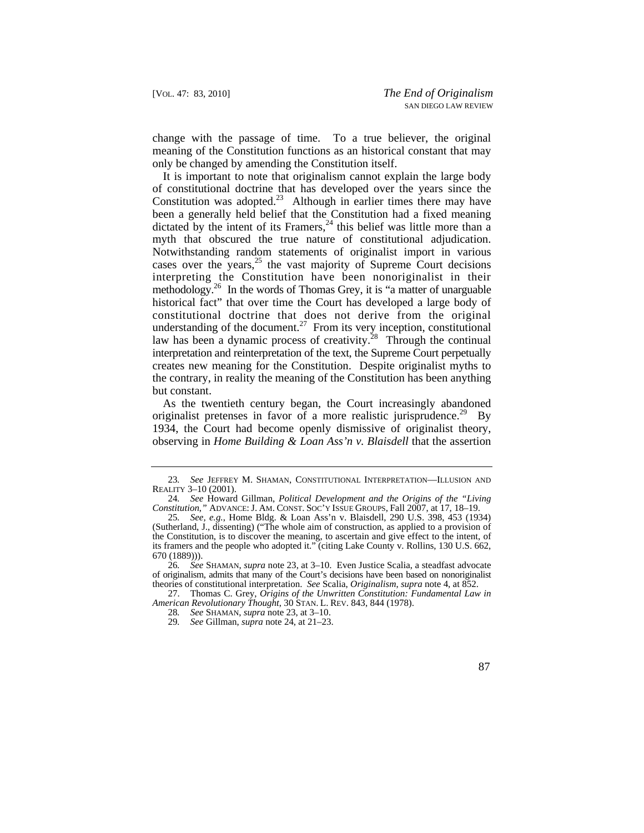change with the passage of time. To a true believer, the original meaning of the Constitution functions as an historical constant that may only be changed by amending the Constitution itself.

It is important to note that originalism cannot explain the large body of constitutional doctrine that has developed over the years since the Constitution was [adopted.](https://adopted.23) $23$  Although in earlier times there may have been a generally held belief that the Constitution had a fixed meaning dictated by the intent of its Framers,<sup>24</sup> this belief was little more than a myth that obscured the true nature of constitutional adjudication. Notwithstanding random statements of originalist import in various cases over the years, $^{25}$  the vast majority of Supreme Court decisions interpreting the Constitution have been nonoriginalist in their methodology.<sup>26</sup> In the words of Thomas Grey, it is "a matter of unarguable" historical fact" that over time the Court has developed a large body of constitutional doctrine that does not derive from the original understanding of the [document.](https://document.27)<sup>27</sup> From its very inception, constitutional law has been a dynamic process of [creativity.](https://creativity.28)<sup>28</sup> Through the continual interpretation and reinterpretation of the text, the Supreme Court perpetually creates new meaning for the Constitution. Despite originalist myths to the contrary, in reality the meaning of the Constitution has been anything but constant.

As the twentieth century began, the Court increasingly abandoned originalist pretenses in favor of a more realistic [jurisprudence.](https://jurisprudence.29)<sup>29</sup> By 1934, the Court had become openly dismissive of originalist theory, observing in *Home Building & Loan Ass'n v. Blaisdell* that the assertion

<sup>23</sup>*. See* JEFFREY M. SHAMAN, CONSTITUTIONAL INTERPRETATION—ILLUSION AND REALITY 3–10 (2001).

 *Constitution*,*"* ADVANCE: J. AM. CONST. SOC'Y ISSUE GROUPS, Fall 2007, at 17, 18–19. 24*. See* Howard Gillman, *Political Development and the Origins of the "Living* 

<sup>25</sup>*. See, e.g.*, Home Bldg. & Loan Ass'n v. Blaisdell, 290 U.S. 398, 453 (1934) (Sutherland, J., dissenting) ("The whole aim of construction, as applied to a provision of the Constitution, is to discover the meaning, to ascertain and give effect to the intent, of its framers and the people who adopted it." (citing Lake County v. Rollins, 130 U.S. 662, 670 (1889))).

 theories of constitutional interpretation. *See* Scalia, *Originalism*, *supra* note 4, at 852. 26*. See* SHAMAN, *supra* note 23, at 3–10. Even Justice Scalia, a steadfast advocate of originalism, admits that many of the Court's decisions have been based on nonoriginalist

 *American Revolutionary Thought*, 30 STAN. L. REV. 843, 844 (1978). 27. Thomas C. Grey, *Origins of the Unwritten Constitution: Fundamental Law in*

<sup>28</sup>*. See* SHAMAN, *supra* note 23, at 3–10.

<sup>29</sup>*. See* Gillman, *supra* note 24, at 21–23.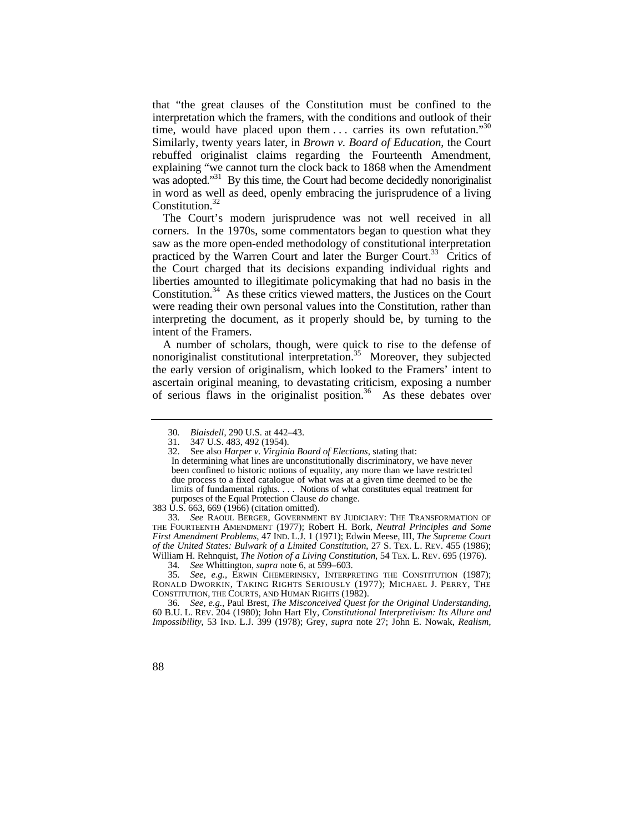time, would have placed upon them  $\ldots$  carries its own refutation."<sup>30</sup> that "the great clauses of the Constitution must be confined to the interpretation which the framers, with the conditions and outlook of their Similarly, twenty years later, in *Brown v. Board of Education*, the Court rebuffed originalist claims regarding the Fourteenth Amendment, explaining "we cannot turn the clock back to 1868 when the Amendment was adopted."<sup>31</sup> By this time, the Court had become decidedly nonoriginalist in word as well as deed, openly embracing the jurisprudence of a living Constitution.<sup>32</sup>

The Court's modern jurisprudence was not well received in all corners. In the 1970s, some commentators began to question what they saw as the more open-ended methodology of constitutional interpretation practiced by the Warren Court and later the Burger Court.<sup>33</sup> Critics of the Court charged that its decisions expanding individual rights and liberties amounted to illegitimate policymaking that had no basis in the [Constitution.34](https://Constitution.34) As these critics viewed matters, the Justices on the Court were reading their own personal values into the Constitution, rather than interpreting the document, as it properly should be, by turning to the intent of the Framers.

A number of scholars, though, were quick to rise to the defense of nonoriginalist constitutional interpretation.<sup>35</sup> Moreover, they subjected the early version of originalism, which looked to the Framers' intent to ascertain original meaning, to devastating criticism, exposing a number of serious flaws in the originalist position.<sup>36</sup> As these debates over

 *of the United States: Bulwark of a Limited Constitution*, 27 S. TEX. L. REV. 455 (1986); William H. Rehnquist, *The Notion of a Living Constitution*, 54 TEX. L. REV. 695 (1976). 33*. See* RAOUL BERGER, GOVERNMENT BY JUDICIARY: THE TRANSFORMATION OF THE FOURTEENTH AMENDMENT (1977); Robert H. Bork, *Neutral Principles and Some First Amendment Problems*, 47 IND. L.J. 1 (1971); Edwin Meese, III, *The Supreme Court*

35*. See, e.g.*, ERWIN CHEMERINSKY, INTERPRETING THE CONSTITUTION (1987); RONALD DWORKIN, TAKING RIGHTS SERIOUSLY (1977); MICHAEL J. PERRY, THE CONSTITUTION, THE COURTS, AND HUMAN RIGHTS (1982).

 60 B.U. L. REV. 204 (1980); John Hart Ely, *Constitutional Interpretivism: Its Allure and*  36*. See, e.g.*, Paul Brest, *The Misconceived Quest for the Original Understanding*, *Impossibility*, 53 IND. L.J. 399 (1978); Grey, *supra* note 27; John E. Nowak, *Realism,* 

<sup>30</sup>*. Blaisdell*, 290 U.S. at 442–43.

<sup>31. 347</sup> U.S. 483, 492 (1954).

<sup>32.</sup> See also *Harper v. Virginia Board of Elections*, stating that:

 limits of fundamental rights. . . . Notions of what constitutes equal treatment for purposes of the Equal Protection Clause *do* change. In determining what lines are unconstitutionally discriminatory, we have never been confined to historic notions of equality, any more than we have restricted due process to a fixed catalogue of what was at a given time deemed to be the

<sup>383</sup> U.S. 663, 669 (1966) (citation omitted).

<sup>34</sup>*. See* Whittington, *supra* note 6, at 599–603.

<sup>88</sup>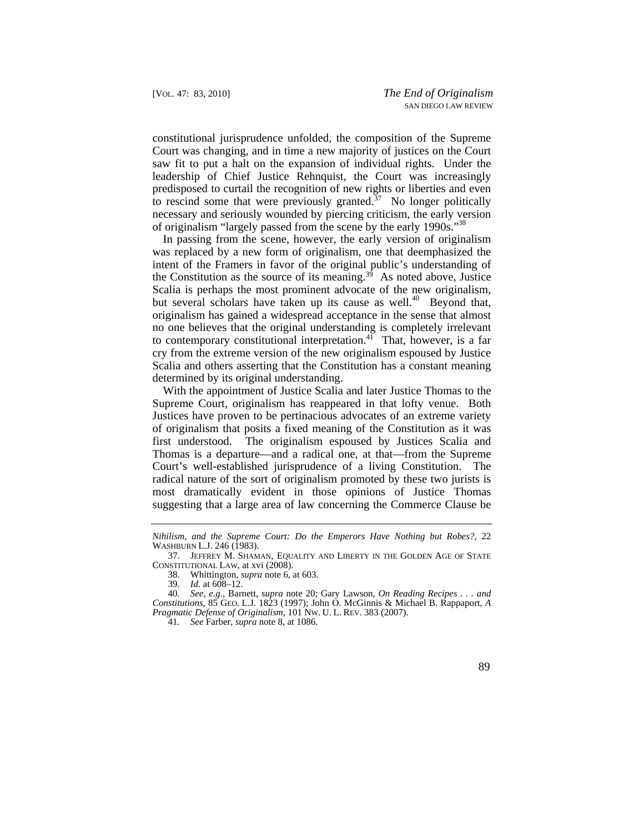constitutional jurisprudence unfolded, the composition of the Supreme Court was changing, and in time a new majority of justices on the Court saw fit to put a halt on the expansion of individual rights. Under the leadership of Chief Justice Rehnquist, the Court was increasingly predisposed to curtail the recognition of new rights or liberties and even to rescind some that were previously granted. $37$  No longer politically necessary and seriously wounded by piercing criticism, the early version of originalism "largely passed from the scene by the early 1990s."38

In passing from the scene, however, the early version of originalism was replaced by a new form of originalism, one that deemphasized the intent of the Framers in favor of the original public's understanding of the Constitution as the source of its meaning.<sup>39</sup> As noted above, Justice Scalia is perhaps the most prominent advocate of the new originalism, but several scholars have taken up its cause as well.<sup>40</sup> Beyond that, originalism has gained a widespread acceptance in the sense that almost no one believes that the original understanding is completely irrelevant to contemporary constitutional interpretation.<sup>41</sup> That, however, is a far cry from the extreme version of the new originalism espoused by Justice Scalia and others asserting that the Constitution has a constant meaning determined by its original understanding.

With the appointment of Justice Scalia and later Justice Thomas to the Supreme Court, originalism has reappeared in that lofty venue. Both Justices have proven to be pertinacious advocates of an extreme variety of originalism that posits a fixed meaning of the Constitution as it was first understood. The originalism espoused by Justices Scalia and Thomas is a departure—and a radical one, at that—from the Supreme Court's well-established jurisprudence of a living Constitution. The radical nature of the sort of originalism promoted by these two jurists is most dramatically evident in those opinions of Justice Thomas suggesting that a large area of law concerning the Commerce Clause be



*Nihilism, and the Supreme Court: Do the Emperors Have Nothing but Robes?*, 22 WASHBURN L.J. 246 (1983).

<sup>37.</sup> JEFFREY M. SHAMAN, EQUALITY AND LIBERTY IN THE GOLDEN AGE OF STATE CONSTITUTIONAL LAW, at xvi (2008).

<sup>38.</sup> Whittington, *supra* note 6, at 603.

*Id.* at 608–12.

 *Pragmatic Defense of Originalism*, 101 NW. U. L. REV. 383 (2007). 40*. See, e.g.*, Barnett, *supra* note 20; Gary Lawson, *On Reading Recipes . . . and Constitutions*, 85 GEO. L.J. 1823 (1997); John O. McGinnis & Michael B. Rappaport, *A* 

<sup>41</sup>*. See* Farber, *supra* note 8, at 1086.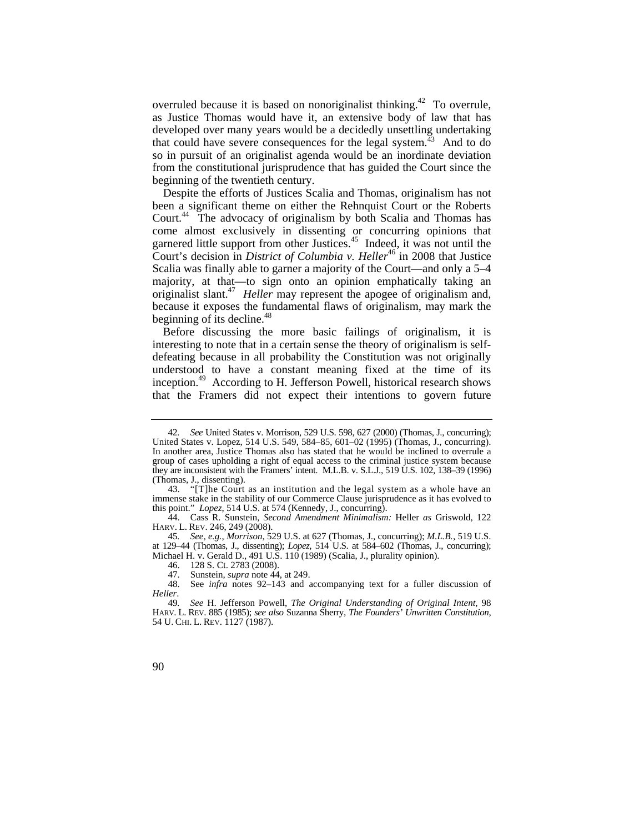overruled because it is based on nonoriginalist [thinking.42](https://thinking.42) To overrule, as Justice Thomas would have it, an extensive body of law that has developed over many years would be a decidedly unsettling undertaking that could have severe consequences for the legal system.<sup>43</sup> And to do so in pursuit of an originalist agenda would be an inordinate deviation from the constitutional jurisprudence that has guided the Court since the beginning of the twentieth century.

 [Court.44](https://Court.44) The advocacy of originalism by both Scalia and Thomas has Despite the efforts of Justices Scalia and Thomas, originalism has not been a significant theme on either the Rehnquist Court or the Roberts come almost exclusively in dissenting or concurring opinions that garnered little support from other [Justices.](https://Justices.45)<sup>45</sup> Indeed, it was not until the Court's decision in *District of Columbia v. Heller*<sup>46</sup> in 2008 that Justice Scalia was finally able to garner a majority of the Court—and only a 5–4 majority, at that—to sign onto an opinion emphatically taking an originalist [slant.47](https://slant.47) *Heller* may represent the apogee of originalism and, because it exposes the fundamental flaws of originalism, may mark the beginning of its [decline.](https://decline.48)<sup>48</sup>

Before discussing the more basic failings of originalism, it is interesting to note that in a certain sense the theory of originalism is selfdefeating because in all probability the Constitution was not originally understood to have a constant meaning fixed at the time of its [inception.49](https://inception.49) According to H. Jefferson Powell, historical research shows that the Framers did not expect their intentions to govern future

45*. See, e.g.*, *Morrison*, 529 U.S. at 627 (Thomas, J., concurring); *M.L.B.*, 519 U.S. at 129–44 (Thomas, J., dissenting); *Lopez*, 514 U.S. at 584–602 (Thomas, J., concurring); Michael H. v. Gerald D., 491 U.S. 110 (1989) (Scalia, J., plurality opinion).

 HARV. L. REV. 885 (1985); *see also* Suzanna Sherry, *The Founders' Unwritten Constitution*, 54 U. CHI. L. REV. 1127 (1987). 49*. See* H. Jefferson Powell, *The Original Understanding of Original Intent*, 98



 In another area, Justice Thomas also has stated that he would be inclined to overrule a they are inconsistent with the Framers' intent. M.L.B. v. S.L.J., 519 U.S. 102, 138–39 (1996) 42*. See* United States v. Morrison, 529 U.S. 598, 627 (2000) (Thomas, J., concurring); United States v. Lopez, 514 U.S. 549, 584–85, 601–02 (1995) (Thomas, J., concurring). group of cases upholding a right of equal access to the criminal justice system because (Thomas, J., dissenting).

<sup>43. &</sup>quot;[T]he Court as an institution and the legal system as a whole have an immense stake in the stability of our Commerce Clause jurisprudence as it has evolved to this point." *Lopez*, 514 U.S. at 574 (Kennedy, J., concurring).

 HARV. L. REV. 246, 249 (2008). 44. Cass R. Sunstein, *Second Amendment Minimalism:* Heller *as* Griswold, 122

<sup>46. 128</sup> S. Ct. 2783 (2008).

<sup>47.</sup> Sunstein, *supra* note 44, at 249.

<sup>48.</sup> See *infra* notes 92–143 and accompanying text for a fuller discussion of *Heller*.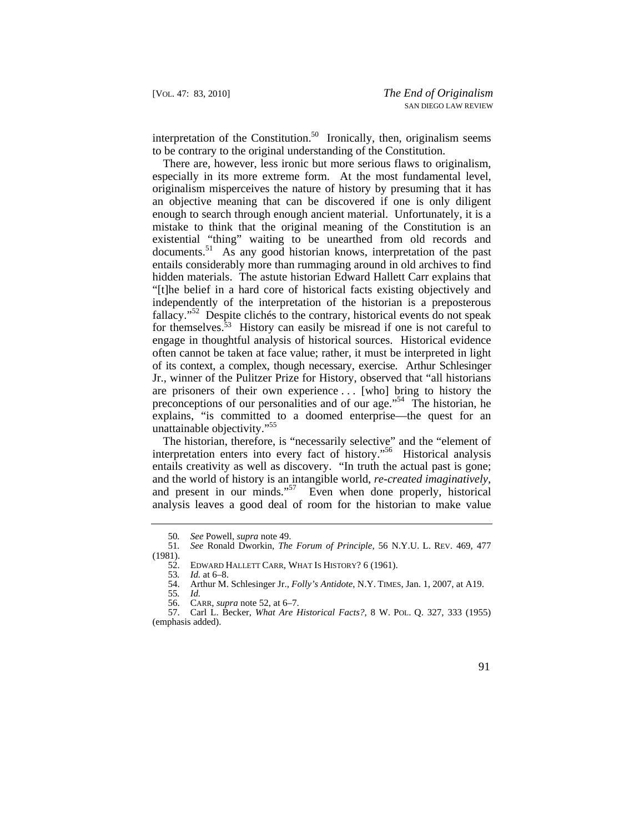interpretation of the Constitution.<sup>50</sup> Ironically, then, originalism seems to be contrary to the original understanding of the Constitution.

There are, however, less ironic but more serious flaws to originalism, especially in its more extreme form. At the most fundamental level, originalism misperceives the nature of history by presuming that it has an objective meaning that can be discovered if one is only diligent enough to search through enough ancient material. Unfortunately, it is a mistake to think that the original meaning of the Constitution is an existential "thing" waiting to be unearthed from old records and [documents.](https://documents.51)<sup>51</sup> As any good historian knows, interpretation of the past entails considerably more than rummaging around in old archives to find hidden materials. The astute historian Edward Hallett Carr explains that "[t]he belief in a hard core of historical facts existing objectively and independently of the interpretation of the historian is a preposterous fallacy."<sup>52</sup> Despite clichés to the contrary, historical events do not speak for themselves.<sup>53</sup> History can easily be misread if one is not careful to engage in thoughtful analysis of historical sources. Historical evidence often cannot be taken at face value; rather, it must be interpreted in light of its context, a complex, though necessary, exercise. Arthur Schlesinger Jr., winner of the Pulitzer Prize for History, observed that "all historians are prisoners of their own experience . . . [who] bring to history the preconceptions of our personalities and of our age."<sup>54</sup> The historian, he explains, "is committed to a doomed enterprise—the quest for an unattainable objectivity."55

 entails creativity as well as discovery. "In truth the actual past is gone; The historian, therefore, is "necessarily selective" and the "element of interpretation enters into every fact of history."56 Historical analysis and the world of history is an intangible world, *re-created imaginatively*, and present in our minds."57 Even when done properly, historical analysis leaves a good deal of room for the historian to make value

<sup>50</sup>*. See* Powell, *supra* note 49.

 51*. See* Ronald Dworkin, *The Forum of Principle*, 56 N.Y.U. L. REV. 469, 477  $\frac{(1981)}{52}$ .

EDWARD HALLETT CARR, WHAT IS HISTORY? 6 (1961).

<sup>53</sup>*. Id.* at 6–8.

<sup>54.</sup> Arthur M. Schlesinger Jr., *Folly's Antidote*, N.Y. TIMES, Jan. 1, 2007, at A19.

<sup>55</sup>*. Id.* 

<sup>56.</sup> CARR, *supra* note 52, at 6–7.<br>57. Carl L. Becker, *What Are I* 

 57. Carl L. Becker, *What Are Historical Facts?*, 8 W. POL. Q. 327, 333 (1955) (emphasis added).

<sup>91</sup>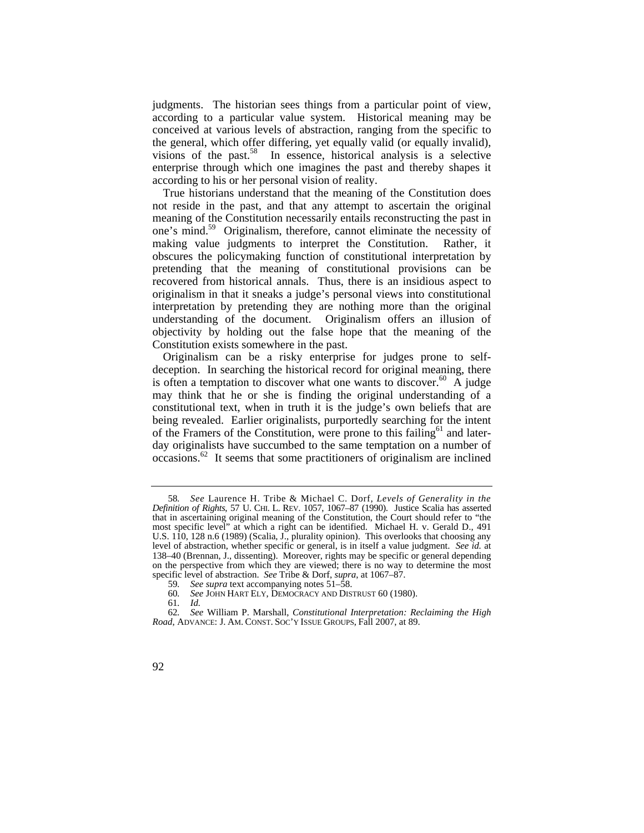judgments. The historian sees things from a particular point of view, according to a particular value system. Historical meaning may be conceived at various levels of abstraction, ranging from the specific to the general, which offer differing, yet equally valid (or equally invalid), visions of the past.58 In essence, historical analysis is a selective enterprise through which one imagines the past and thereby shapes it according to his or her personal vision of reality.

True historians understand that the meaning of the Constitution does not reside in the past, and that any attempt to ascertain the original meaning of the Constitution necessarily entails reconstructing the past in one's mind.<sup>59</sup> Originalism, therefore, cannot eliminate the necessity of making value judgments to interpret the Constitution. Rather, it obscures the policymaking function of constitutional interpretation by pretending that the meaning of constitutional provisions can be recovered from historical annals. Thus, there is an insidious aspect to originalism in that it sneaks a judge's personal views into constitutional interpretation by pretending they are nothing more than the original understanding of the document. Originalism offers an illusion of objectivity by holding out the false hope that the meaning of the Constitution exists somewhere in the past.

 [occasions.](https://occasions.62)62 It seems that some practitioners of originalism are inclined Originalism can be a risky enterprise for judges prone to selfdeception. In searching the historical record for original meaning, there is often a temptation to discover what one wants to discover.<sup>60</sup> A judge may think that he or she is finding the original understanding of a constitutional text, when in truth it is the judge's own beliefs that are being revealed. Earlier originalists, purportedly searching for the intent of the Framers of the Constitution, were prone to this failing<sup>61</sup> and laterday originalists have succumbed to the same temptation on a number of

 *Definition of Rights*, 57 U. CHI. L. REV. 1057, 1067–87 (1990). Justice Scalia has asserted 58*. See* Laurence H. Tribe & Michael C. Dorf, *Levels of Generality in the*  that in ascertaining original meaning of the Constitution, the Court should refer to "the most specific level" at which a right can be identified. Michael H. v. Gerald D., 491 U.S. 110, 128 n.6 (1989) (Scalia, J., plurality opinion). This overlooks that choosing any level of abstraction, whether specific or general, is in itself a value judgment. *See id.* at 138–40 (Brennan, J., dissenting). Moreover, rights may be specific or general depending on the perspective from which they are viewed; there is no way to determine the most specific level of abstraction. *See* Tribe & Dorf, *supra*, at 1067–87.

<sup>59</sup>*. See supra* text accompanying notes 51–58.

<sup>60</sup>*. See* JOHN HART ELY, DEMOCRACY AND DISTRUST 60 (1980).

<sup>61</sup>*. Id.* 

 *Road*, ADVANCE: J. AM. CONST. SOC'Y ISSUE GROUPS, Fall 2007, at 89. 62*. See* William P. Marshall, *Constitutional Interpretation: Reclaiming the High* 

<sup>92</sup>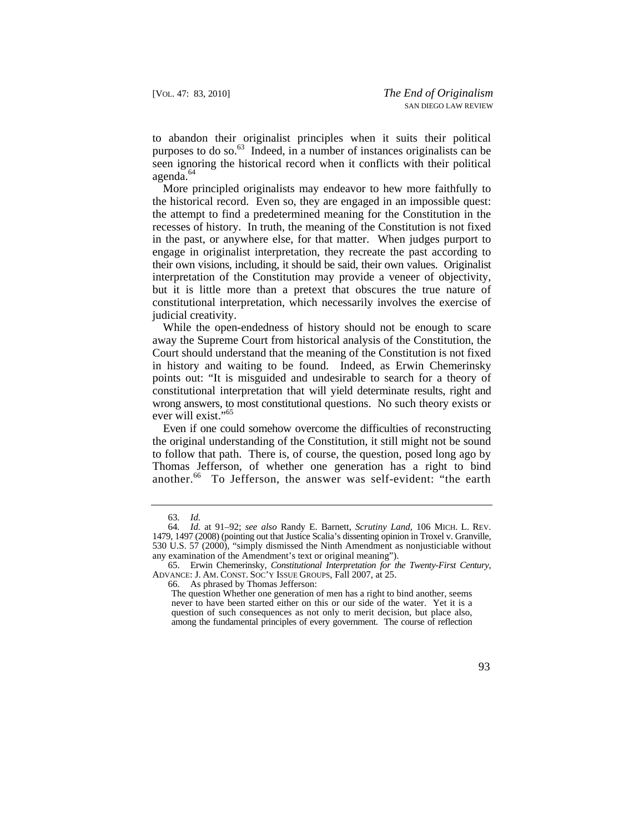to abandon their originalist principles when it suits their political purposes to do so.<sup>63</sup> Indeed, in a number of instances originalists can be seen ignoring the historical record when it conflicts with their political [agenda.](https://agenda.64)<sup>64</sup>

More principled originalists may endeavor to hew more faithfully to the historical record. Even so, they are engaged in an impossible quest: the attempt to find a predetermined meaning for the Constitution in the recesses of history. In truth, the meaning of the Constitution is not fixed in the past, or anywhere else, for that matter. When judges purport to engage in originalist interpretation, they recreate the past according to their own visions, including, it should be said, their own values. Originalist interpretation of the Constitution may provide a veneer of objectivity, but it is little more than a pretext that obscures the true nature of constitutional interpretation, which necessarily involves the exercise of judicial creativity.

While the open-endedness of history should not be enough to scare away the Supreme Court from historical analysis of the Constitution, the Court should understand that the meaning of the Constitution is not fixed in history and waiting to be found. Indeed, as Erwin Chemerinsky points out: "It is misguided and undesirable to search for a theory of constitutional interpretation that will yield determinate results, right and wrong answers, to most constitutional questions. No such theory exists or ever will exist."65

Even if one could somehow overcome the difficulties of reconstructing the original understanding of the Constitution, it still might not be sound to follow that path. There is, of course, the question, posed long ago by Thomas Jefferson, of whether one generation has a right to bind [another.](https://another.66)<sup>66</sup> To Jefferson, the answer was self-evident: "the earth

The question Whether one generation of men has a right to bind another, seems never to have been started either on this or our side of the water. Yet it is a question of such consequences as not only to merit decision, but place also, among the fundamental principles of every government. The course of reflection



<sup>63</sup>*. Id.* 

 64*. Id.* at 91–92; *see also* Randy E. Barnett, *Scrutiny Land*, 106 MICH. L. REV. 1479, 1497 (2008) (pointing out that Justice Scalia's dissenting opinion in Troxel v. Granville, 530 U.S. 57 (2000), "simply dismissed the Ninth Amendment as nonjusticiable without any examination of the Amendment's text or original meaning").

 65. Erwin Chemerinsky, *Constitutional Interpretation for the Twenty-First Century*, ADVANCE: J. AM. CONST. SOC'Y ISSUE GROUPS, Fall 2007, at 25.

<sup>66.</sup> As phrased by Thomas Jefferson: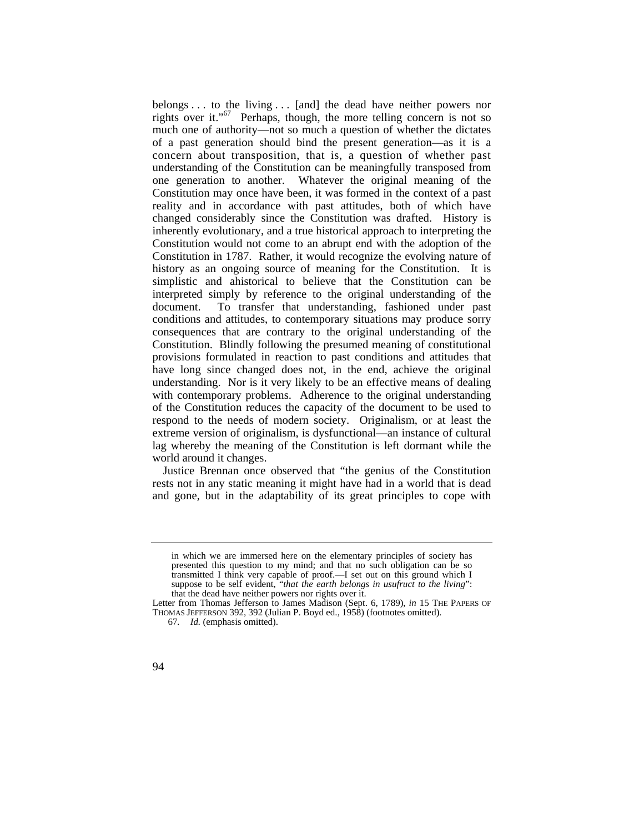belongs . . . to the living . . . [and] the dead have neither powers nor rights over it."67 Perhaps, though, the more telling concern is not so much one of authority—not so much a question of whether the dictates of a past generation should bind the present generation—as it is a concern about transposition, that is, a question of whether past understanding of the Constitution can be meaningfully transposed from one generation to another. Whatever the original meaning of the Constitution may once have been, it was formed in the context of a past reality and in accordance with past attitudes, both of which have changed considerably since the Constitution was drafted. History is inherently evolutionary, and a true historical approach to interpreting the Constitution would not come to an abrupt end with the adoption of the Constitution in 1787. Rather, it would recognize the evolving nature of history as an ongoing source of meaning for the Constitution. It is simplistic and ahistorical to believe that the Constitution can be interpreted simply by reference to the original understanding of the document. To transfer that understanding, fashioned under past conditions and attitudes, to contemporary situations may produce sorry consequences that are contrary to the original understanding of the Constitution. Blindly following the presumed meaning of constitutional provisions formulated in reaction to past conditions and attitudes that have long since changed does not, in the end, achieve the original understanding. Nor is it very likely to be an effective means of dealing with contemporary problems. Adherence to the original understanding of the Constitution reduces the capacity of the document to be used to respond to the needs of modern society. Originalism, or at least the extreme version of originalism, is dysfunctional—an instance of cultural lag whereby the meaning of the Constitution is left dormant while the world around it changes.

Justice Brennan once observed that "the genius of the Constitution rests not in any static meaning it might have had in a world that is dead and gone, but in the adaptability of its great principles to cope with

in which we are immersed here on the elementary principles of society has presented this question to my mind; and that no such obligation can be so transmitted I think very capable of proof.—I set out on this ground which I suppose to be self evident, "*that the earth belongs in usufruct to the living*": that the dead have neither powers nor rights over it.

Letter from Thomas Jefferson to James Madison (Sept. 6, 1789), *in* 15 THE PAPERS OF THOMAS JEFFERSON 392, 392 (Julian P. Boyd ed., 1958) (footnotes omitted).

<sup>67</sup>*. Id.* (emphasis omitted).

<sup>94</sup>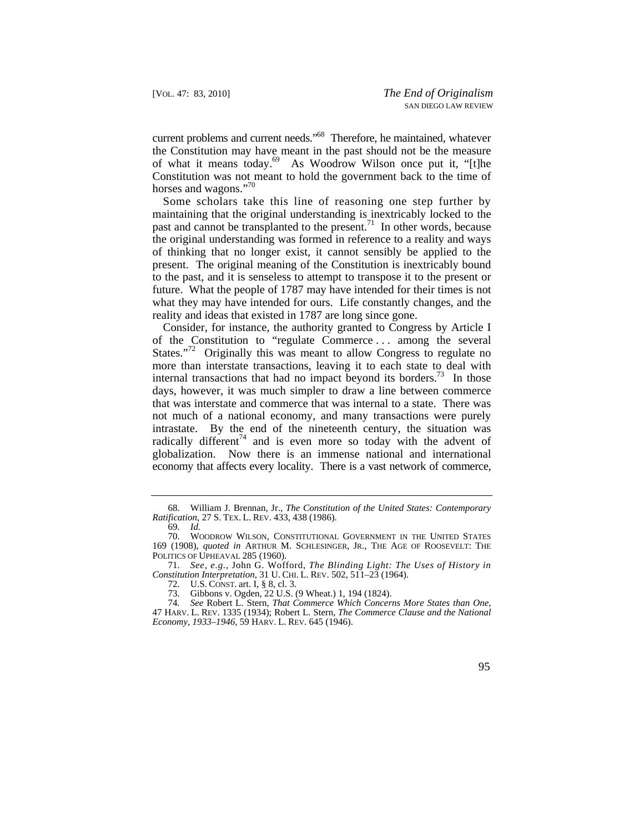current problems and current needs."<sup>68</sup> Therefore, he maintained, whatever the Constitution may have meant in the past should not be the measure of what it means today.<sup>69</sup> As Woodrow Wilson once put it, "[t]he Constitution was not meant to hold the government back to the time of horses and wagons."<sup>70</sup>

Some scholars take this line of reasoning one step further by maintaining that the original understanding is inextricably locked to the past and cannot be transplanted to the [present.](https://present.71)<sup>71</sup> In other words, because the original understanding was formed in reference to a reality and ways of thinking that no longer exist, it cannot sensibly be applied to the present. The original meaning of the Constitution is inextricably bound to the past, and it is senseless to attempt to transpose it to the present or future. What the people of 1787 may have intended for their times is not what they may have intended for ours. Life constantly changes, and the reality and ideas that existed in 1787 are long since gone.

Consider, for instance, the authority granted to Congress by Article I of the Constitution to "regulate Commerce . . . among the several States."<sup>72</sup> Originally this was meant to allow Congress to regulate no more than interstate transactions, leaving it to each state to deal with internal transactions that had no impact beyond its borders.<sup>73</sup> In those days, however, it was much simpler to draw a line between commerce that was interstate and commerce that was internal to a state. There was not much of a national economy, and many transactions were purely intrastate. By the end of the nineteenth century, the situation was radically different<sup>74</sup> and is even more so today with the advent of globalization. Now there is an immense national and international economy that affects every locality. There is a vast network of commerce,

 47 HARV. L. REV. 1335 (1934); Robert L. Stern, *The Commerce Clause and the National Economy, 1933–1946*, 59 HARV. L. REV. 645 (1946). 74*. See* Robert L. Stern, *That Commerce Which Concerns More States than One*,



 *Ratification*, 27 S. TEX. L. REV. 433, 438 (1986). 68. William J. Brennan, Jr., *The Constitution of the United States: Contemporary* 

<sup>69</sup>*. Id.* 

<sup>70.</sup> WOODROW WILSON, CONSTITUTIONAL GOVERNMENT IN THE UNITED STATES 169 (1908), *quoted in* ARTHUR M. SCHLESINGER, JR., THE AGE OF ROOSEVELT: THE POLITICS OF UPHEAVAL 285 (1960).

 *Constitution Interpretation*, 31 U. CHI. L. REV. 502, 511–23 (1964). 71. *See, e.g.*, John G. Wofford, *The Blinding Light: The Uses of History in* 

 72. U.S. CONST. art. I, § 8, cl. 3.

<sup>73.</sup> Gibbons v. Ogden, 22 U.S. (9 Wheat.) 1, 194 (1824).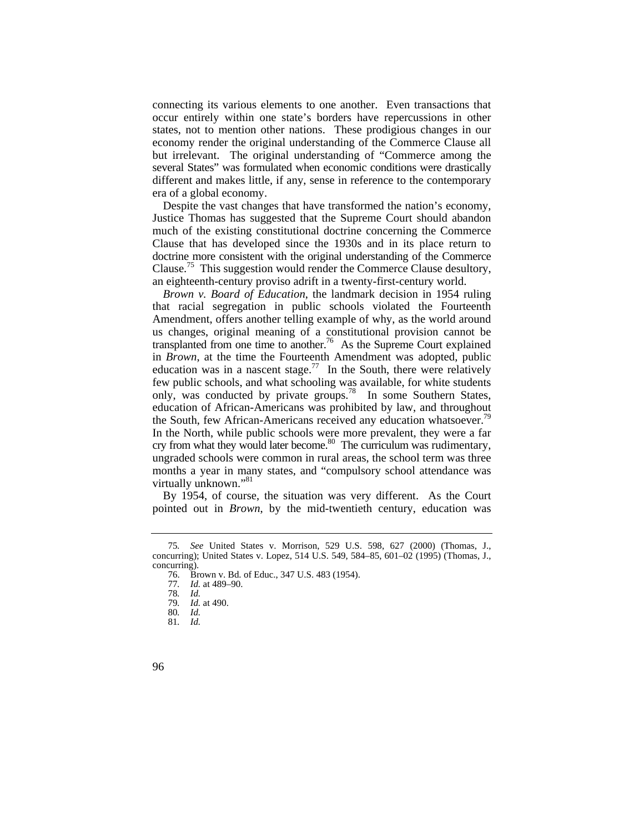connecting its various elements to one another. Even transactions that occur entirely within one state's borders have repercussions in other states, not to mention other nations. These prodigious changes in our economy render the original understanding of the Commerce Clause all but irrelevant. The original understanding of "Commerce among the several States" was formulated when economic conditions were drastically different and makes little, if any, sense in reference to the contemporary era of a global economy.

Despite the vast changes that have transformed the nation's economy, Justice Thomas has suggested that the Supreme Court should abandon much of the existing constitutional doctrine concerning the Commerce Clause that has developed since the 1930s and in its place return to doctrine more consistent with the original understanding of the Commerce [Clause.](https://Clause.75)<sup>75</sup> This suggestion would render the Commerce Clause desultory, an eighteenth-century proviso adrift in a twenty-first-century world.

*Brown v. Board of Education*, the landmark decision in 1954 ruling that racial segregation in public schools violated the Fourteenth Amendment, offers another telling example of why, as the world around us changes, original meaning of a constitutional provision cannot be transplanted from one time to another.<sup>76</sup> As the Supreme Court explained in *Brown*, at the time the Fourteenth Amendment was adopted, public education was in a nascent [stage.](https://stage.77)<sup>77</sup> In the South, there were relatively few public schools, and what schooling was available, for white students only, was conducted by private [groups.](https://groups.78)<sup>78</sup> In some Southern States, education of African-Americans was prohibited by law, and throughout the South, few African-Americans received any education whatsoever.<sup>79</sup> In the North, while public schools were more prevalent, they were a far cry from what they would later become.<sup>80</sup> The curriculum was rudimentary, ungraded schools were common in rural areas, the school term was three months a year in many states, and "compulsory school attendance was virtually unknown."81

By 1954, of course, the situation was very different. As the Court pointed out in *Brown*, by the mid-twentieth century, education was

96

<sup>75</sup>*. See* United States v. Morrison, 529 U.S. 598, 627 (2000) (Thomas, J., concurring); United States v. Lopez, 514 U.S. 549, 584–85, 601–02 (1995) (Thomas, J., concurring).

<sup>76.</sup> Brown v. Bd. of Educ., 347 U.S. 483 (1954).

*Id.* at 489-90.

<sup>78</sup>*. Id.* 

<sup>79</sup>*. Id.* at 490.

<sup>80</sup>*. Id.* 

<sup>81</sup>*. Id.*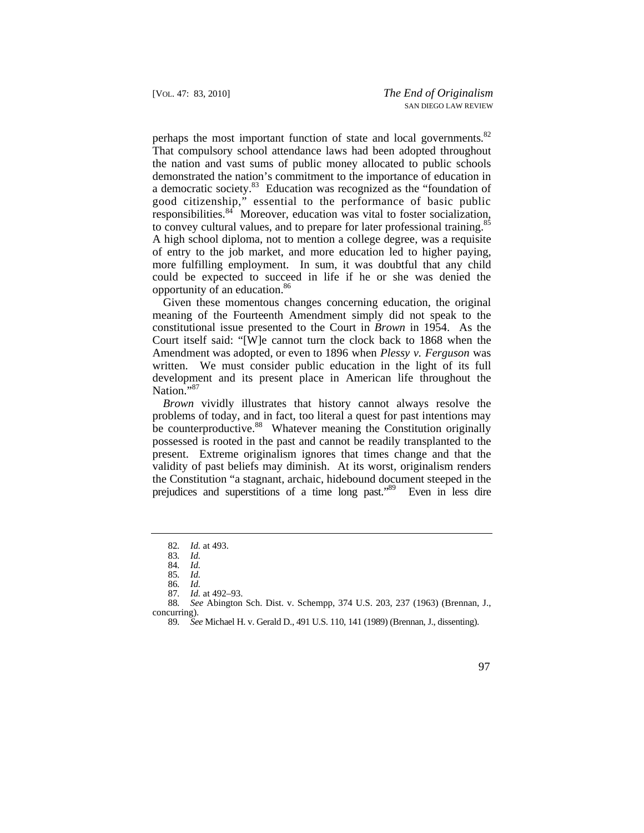perhaps the most important function of state and local governments.<sup>82</sup> That compulsory school attendance laws had been adopted throughout the nation and vast sums of public money allocated to public schools demonstrated the nation's commitment to the importance of education in a democratic society.<sup>83</sup> Education was recognized as the "foundation of good citizenship," essential to the performance of basic public responsibilities. $84$  Moreover, education was vital to foster socialization, to convey cultural values, and to prepare for later professional training.<sup>85</sup> A high school diploma, not to mention a college degree, was a requisite of entry to the job market, and more education led to higher paying, more fulfilling employment. In sum, it was doubtful that any child could be expected to succeed in life if he or she was denied the opportunity of an education.<sup>86</sup>

Given these momentous changes concerning education, the original meaning of the Fourteenth Amendment simply did not speak to the constitutional issue presented to the Court in *Brown* in 1954. As the Court itself said: "[W]e cannot turn the clock back to 1868 when the Amendment was adopted, or even to 1896 when *Plessy v. Ferguson* was written. We must consider public education in the light of its full development and its present place in American life throughout the Nation."<sup>87</sup>

*Brown* vividly illustrates that history cannot always resolve the problems of today, and in fact, too literal a quest for past intentions may be counterproductive.<sup>88</sup> Whatever meaning the Constitution originally possessed is rooted in the past and cannot be readily transplanted to the present. Extreme originalism ignores that times change and that the validity of past beliefs may diminish. At its worst, originalism renders the Constitution "a stagnant, archaic, hidebound document steeped in the prejudices and superstitions of a time long past."89 Even in less dire

<sup>89</sup>*. See* Michael H. v. Gerald D., 491 U.S. 110, 141 (1989) (Brennan, J., dissenting).



<sup>82</sup>*. Id.* at 493.

<sup>83</sup>*. Id.* 

<sup>84</sup>*. Id.* 

<sup>85</sup>*. Id.* 

<sup>86</sup>*. Id.* 

<sup>87</sup>*. Id.* at 492–93.

<sup>88</sup>*. See* Abington Sch. Dist. v. Schempp, 374 U.S. 203, 237 (1963) (Brennan, J., concurring).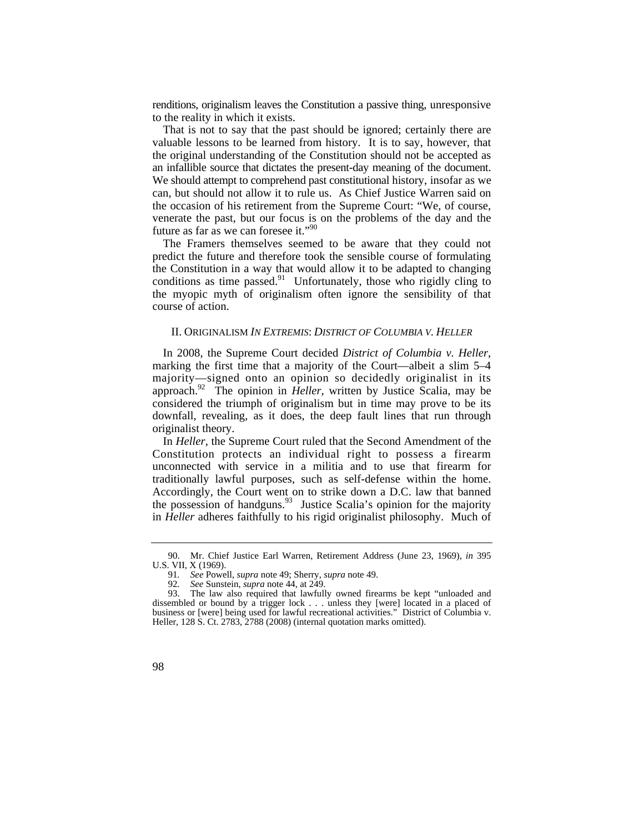renditions, originalism leaves the Constitution a passive thing, unresponsive to the reality in which it exists.

 We should attempt to comprehend past constitutional history, insofar as we That is not to say that the past should be ignored; certainly there are valuable lessons to be learned from history. It is to say, however, that the original understanding of the Constitution should not be accepted as an infallible source that dictates the present-day meaning of the document. can, but should not allow it to rule us. As Chief Justice Warren said on the occasion of his retirement from the Supreme Court: "We, of course, venerate the past, but our focus is on the problems of the day and the future as far as we can foresee it."<sup>90</sup>

The Framers themselves seemed to be aware that they could not predict the future and therefore took the sensible course of formulating the Constitution in a way that would allow it to be adapted to changing conditions as time [passed.](https://passed.91)<sup>91</sup> Unfortunately, those who rigidly cling to the myopic myth of originalism often ignore the sensibility of that course of action.

### II. ORIGINALISM *IN EXTREMIS*: *DISTRICT OF COLUMBIA V. HELLER*

In 2008, the Supreme Court decided *District of Columbia v. Heller*, marking the first time that a majority of the Court—albeit a slim 5–4 majority—signed onto an opinion so decidedly originalist in its [approach.](https://approach.92)92 The opinion in *Heller*, written by Justice Scalia, may be considered the triumph of originalism but in time may prove to be its downfall, revealing, as it does, the deep fault lines that run through originalist theory.

In *Heller*, the Supreme Court ruled that the Second Amendment of the Constitution protects an individual right to possess a firearm unconnected with service in a militia and to use that firearm for traditionally lawful purposes, such as self-defense within the home. Accordingly, the Court went on to strike down a D.C. law that banned the possession of [handguns.](https://handguns.93) $93$  Justice Scalia's opinion for the majority in *Heller* adheres faithfully to his rigid originalist philosophy. Much of

<sup>93.</sup> The law also required that lawfully owned firearms be kept "unloaded and dissembled or bound by a trigger lock . . . unless they [were] located in a placed of business or [were] being used for lawful recreational activities." District of Columbia v. Heller, 128 S. Ct. 2783, 2788 (2008) (internal quotation marks omitted).



<sup>90.</sup> Mr. Chief Justice Earl Warren, Retirement Address (June 23, 1969), *in* 395 U.S. VII, X (1969).

<sup>91</sup>*. See* Powell, *supra* note 49; Sherry, *supra* note 49.

<sup>92</sup>*. See* Sunstein, *supra* note 44, at 249.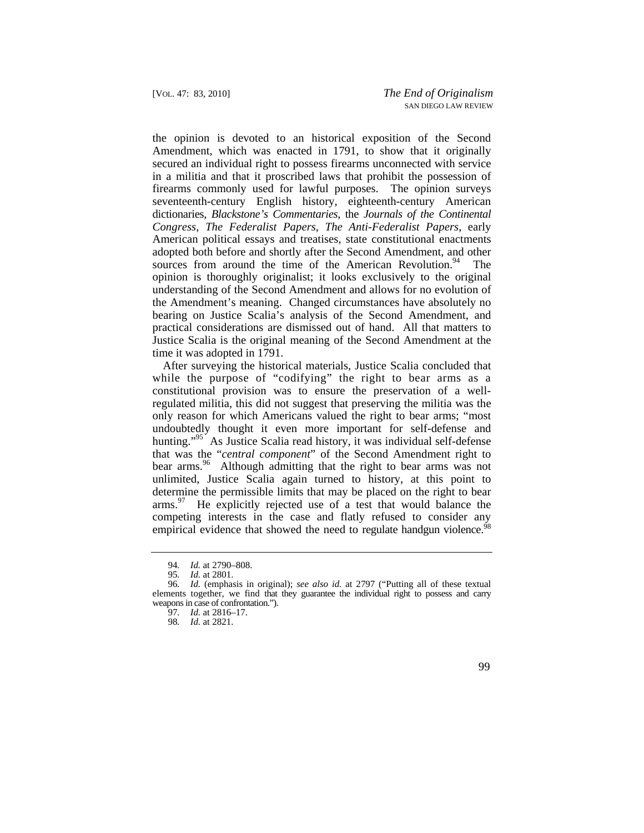the opinion is devoted to an historical exposition of the Second Amendment, which was enacted in 1791, to show that it originally secured an individual right to possess firearms unconnected with service in a militia and that it proscribed laws that prohibit the possession of firearms commonly used for lawful purposes. The opinion surveys seventeenth-century English history, eighteenth-century American dictionaries, *Blackstone's Commentaries*, the *Journals of the Continental Congress*, *The Federalist Papers*, *The Anti-Federalist Papers*, early American political essays and treatises, state constitutional enactments adopted both before and shortly after the Second Amendment, and other sources from around the time of the American Revolution. $94$  The opinion is thoroughly originalist; it looks exclusively to the original understanding of the Second Amendment and allows for no evolution of the Amendment's meaning. Changed circumstances have absolutely no bearing on Justice Scalia's analysis of the Second Amendment, and practical considerations are dismissed out of hand. All that matters to Justice Scalia is the original meaning of the Second Amendment at the time it was adopted in 1791.

empirical evidence that showed the need to regulate handgun violence.<sup>98</sup> After surveying the historical materials, Justice Scalia concluded that while the purpose of "codifying" the right to bear arms as a constitutional provision was to ensure the preservation of a wellregulated militia, this did not suggest that preserving the militia was the only reason for which Americans valued the right to bear arms; "most undoubtedly thought it even more important for self-defense and hunting."<sup>95</sup> As Justice Scalia read history, it was individual self-defense that was the "*central component*" of the Second Amendment right to bear arms.<sup>96</sup> Although admitting that the right to bear arms was not unlimited, Justice Scalia again turned to history, at this point to determine the permissible limits that may be placed on the right to bear  $\text{arms.}^{97}$  He explicitly rejected use of a test that would balance the competing interests in the case and flatly refused to consider any

<sup>94</sup>*. Id.* at 2790–808.

<sup>95</sup>*. Id.* at 2801.

 elements together, we find that they guarantee the individual right to possess and carry 96*. Id.* (emphasis in original); *see also id.* at 2797 ("Putting all of these textual weapons in case of confrontation.").

<sup>97</sup>*. Id.* at 2816–17.

<sup>98</sup>*. Id.* at 2821.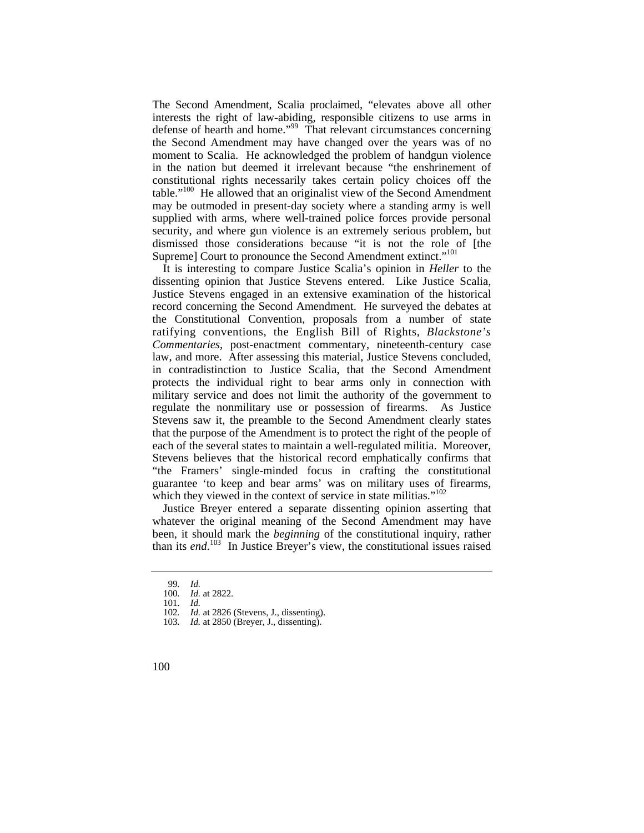table."<sup>100</sup> He allowed that an originalist view of the Second Amendment The Second Amendment, Scalia proclaimed, "elevates above all other interests the right of law-abiding, responsible citizens to use arms in defense of hearth and home."99 That relevant circumstances concerning the Second Amendment may have changed over the years was of no moment to Scalia. He acknowledged the problem of handgun violence in the nation but deemed it irrelevant because "the enshrinement of constitutional rights necessarily takes certain policy choices off the may be outmoded in present-day society where a standing army is well supplied with arms, where well-trained police forces provide personal security, and where gun violence is an extremely serious problem, but dismissed those considerations because "it is not the role of [the Supreme] Court to pronounce the Second Amendment extinct."<sup>101</sup>

It is interesting to compare Justice Scalia's opinion in *Heller* to the dissenting opinion that Justice Stevens entered. Like Justice Scalia, Justice Stevens engaged in an extensive examination of the historical record concerning the Second Amendment. He surveyed the debates at the Constitutional Convention, proposals from a number of state ratifying conventions, the English Bill of Rights, *Blackstone's Commentaries*, post-enactment commentary, nineteenth-century case law, and more. After assessing this material, Justice Stevens concluded, in contradistinction to Justice Scalia, that the Second Amendment protects the individual right to bear arms only in connection with military service and does not limit the authority of the government to regulate the nonmilitary use or possession of firearms. As Justice Stevens saw it, the preamble to the Second Amendment clearly states that the purpose of the Amendment is to protect the right of the people of each of the several states to maintain a well-regulated militia. Moreover, Stevens believes that the historical record emphatically confirms that "the Framers' single-minded focus in crafting the constitutional guarantee 'to keep and bear arms' was on military uses of firearms, which they viewed in the context of service in state militias."<sup>102</sup>

 than its *end*. 103 In Justice Breyer's view, the constitutional issues raised Justice Breyer entered a separate dissenting opinion asserting that whatever the original meaning of the Second Amendment may have been, it should mark the *beginning* of the constitutional inquiry, rather

<sup>99</sup>*. Id.* 

*Id.* at 2822.

<sup>101</sup>*. Id.* 

<sup>102</sup>*. Id.* at 2826 (Stevens, J., dissenting).

<sup>103</sup>*. Id.* at 2850 (Breyer, J., dissenting).

<sup>100</sup>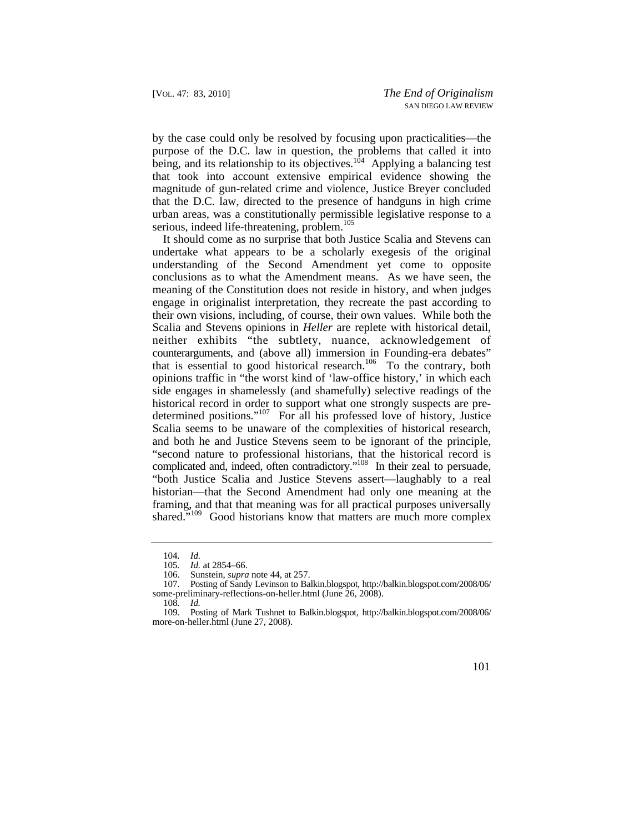by the case could only be resolved by focusing upon practicalities—the purpose of the D.C. law in question, the problems that called it into being, and its relationship to its objectives.<sup>104</sup> Applying a balancing test that took into account extensive empirical evidence showing the magnitude of gun-related crime and violence, Justice Breyer concluded that the D.C. law, directed to the presence of handguns in high crime urban areas, was a constitutionally permissible legislative response to a serious, indeed life-threatening, problem.<sup>105</sup>

 conclusions as to what the Amendment means. As we have seen, the It should come as no surprise that both Justice Scalia and Stevens can undertake what appears to be a scholarly exegesis of the original understanding of the Second Amendment yet come to opposite meaning of the Constitution does not reside in history, and when judges engage in originalist interpretation, they recreate the past according to their own visions, including, of course, their own values. While both the Scalia and Stevens opinions in *Heller* are replete with historical detail, neither exhibits "the subtlety, nuance, acknowledgement of counterarguments, and (above all) immersion in Founding-era debates" that is essential to good historical research.<sup>106</sup> To the contrary, both opinions traffic in "the worst kind of 'law-office history,' in which each side engages in shamelessly (and shamefully) selective readings of the historical record in order to support what one strongly suspects are predetermined positions."107 For all his professed love of history, Justice Scalia seems to be unaware of the complexities of historical research, and both he and Justice Stevens seem to be ignorant of the principle, "second nature to professional historians, that the historical record is complicated and, indeed, often contradictory."108 In their zeal to persuade, "both Justice Scalia and Justice Stevens assert—laughably to a real historian—that the Second Amendment had only one meaning at the framing, and that that meaning was for all practical purposes universally shared."<sup>109</sup> Good historians know that matters are much more complex

<sup>109.</sup> Posting of Mark Tushnet to Balkin.blogspot, [http://balkin.blogspot.com/2008/06/](http://balkin.blogspot.com/2008/06) more-on-heller.html (June 27, 2008).



<sup>104</sup>*. Id.* 

*Id.* at 2854–66.

<sup>106.</sup> Sunstein, *supra* note 44, at 257.<br>107. Posting of Sandy Levinson to Ba

<sup>107.</sup> Posting of Sandy Levinson to Balkin.blogspot, [http://balkin.blogspot.com/2008/06/](http://balkin.blogspot.com/2008/06) some-preliminary-reflections-on-heller.html (June 26, 2008).

<sup>108</sup>*. Id.*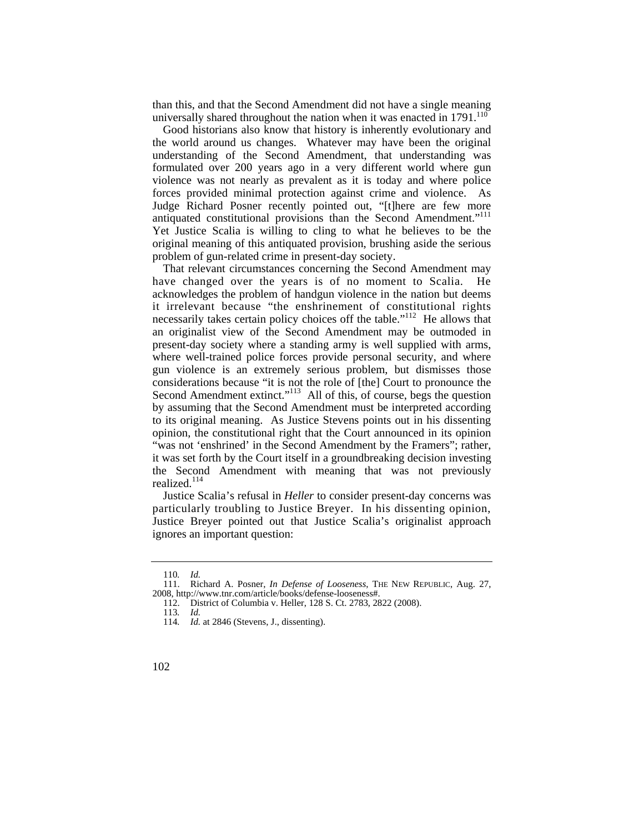than this, and that the Second Amendment did not have a single meaning universally shared throughout the nation when it was enacted in 1791.<sup>110</sup>

antiquated constitutional provisions than the Second Amendment."<sup>111</sup> Good historians also know that history is inherently evolutionary and the world around us changes. Whatever may have been the original understanding of the Second Amendment, that understanding was formulated over 200 years ago in a very different world where gun violence was not nearly as prevalent as it is today and where police forces provided minimal protection against crime and violence. As Judge Richard Posner recently pointed out, "[t]here are few more Yet Justice Scalia is willing to cling to what he believes to be the original meaning of this antiquated provision, brushing aside the serious problem of gun-related crime in present-day society.

That relevant circumstances concerning the Second Amendment may have changed over the years is of no moment to Scalia. He acknowledges the problem of handgun violence in the nation but deems it irrelevant because "the enshrinement of constitutional rights necessarily takes certain policy choices off the table."<sup>112</sup> He allows that an originalist view of the Second Amendment may be outmoded in present-day society where a standing army is well supplied with arms, where well-trained police forces provide personal security, and where gun violence is an extremely serious problem, but dismisses those considerations because "it is not the role of [the] Court to pronounce the Second Amendment extinct."<sup>113</sup> All of this, of course, begs the question by assuming that the Second Amendment must be interpreted according to its original meaning. As Justice Stevens points out in his dissenting opinion, the constitutional right that the Court announced in its opinion "was not 'enshrined' in the Second Amendment by the Framers"; rather, it was set forth by the Court itself in a groundbreaking decision investing the Second Amendment with meaning that was not previously realized.<sup>114</sup>

 particularly troubling to Justice Breyer. In his dissenting opinion, Justice Scalia's refusal in *Heller* to consider present-day concerns was Justice Breyer pointed out that Justice Scalia's originalist approach ignores an important question:

<sup>110</sup>*. Id.* 

<sup>111.</sup> Richard A. Posner, *In Defense of Looseness*, THE NEW REPUBLIC, Aug. 27, 2008, [http://www.tnr.com/article/books/defense-looseness#](http://www.tnr.com/article/books/defense-looseness).

<sup>112.</sup> District of Columbia v. Heller, 128 S. Ct. 2783, 2822 (2008).

<sup>113</sup>*. Id.* 

<sup>114</sup>*. Id.* at 2846 (Stevens, J., dissenting).

<sup>102</sup>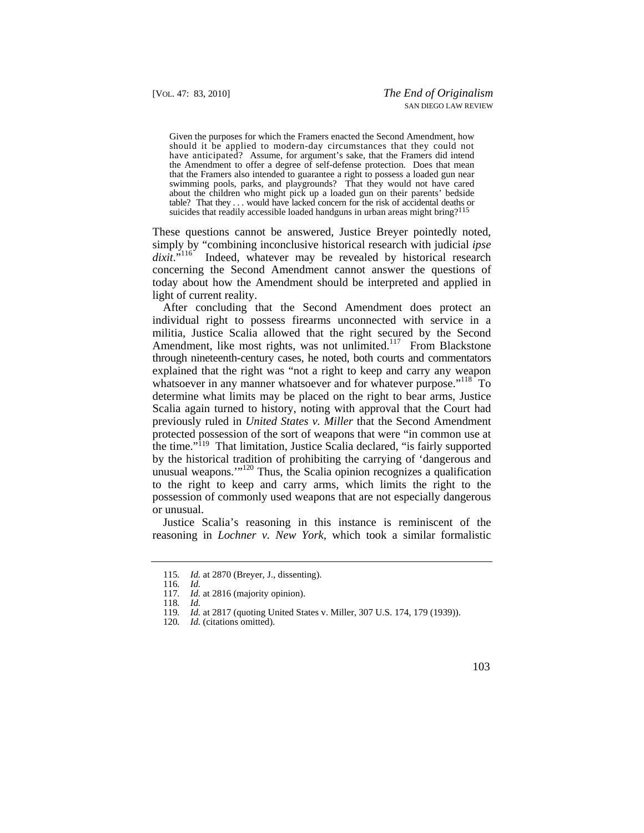the Amendment to offer a degree of self-defense protection. Does that mean swimming pools, parks, and playgrounds? That they would not have cared table? That they . . . would have lacked concern for the risk of accidental deaths or Given the purposes for which the Framers enacted the Second Amendment, how should it be applied to modern-day circumstances that they could not have anticipated? Assume, for argument's sake, that the Framers did intend that the Framers also intended to guarantee a right to possess a loaded gun near about the children who might pick up a loaded gun on their parents' bedside suicides that readily accessible loaded handguns in urban areas might bring?<sup>11</sup>

 These questions cannot be answered, Justice Breyer pointedly noted, simply by "combining inconclusive historical research with judicial *ipse* dixit."<sup>116</sup> Indeed, whatever may be revealed by historical research Indeed, whatever may be revealed by historical research concerning the Second Amendment cannot answer the questions of today about how the Amendment should be interpreted and applied in light of current reality.

After concluding that the Second Amendment does protect an individual right to possess firearms unconnected with service in a militia, Justice Scalia allowed that the right secured by the Second Amendment, like most rights, was not unlimited.<sup>117</sup> From Blackstone through nineteenth-century cases, he noted, both courts and commentators explained that the right was "not a right to keep and carry any weapon whatsoever in any manner whatsoever and for whatever purpose."<sup>118</sup> To determine what limits may be placed on the right to bear arms, Justice Scalia again turned to history, noting with approval that the Court had previously ruled in *United States v. Miller* that the Second Amendment protected possession of the sort of weapons that were "in common use at the time."<sup>119</sup> That limitation, Justice Scalia declared, "is fairly supported by the historical tradition of prohibiting the carrying of 'dangerous and unusual weapons.'"<sup>120</sup> Thus, the Scalia opinion recognizes a qualification to the right to keep and carry arms, which limits the right to the possession of commonly used weapons that are not especially dangerous or unusual.

Justice Scalia's reasoning in this instance is reminiscent of the reasoning in *Lochner v. New York*, which took a similar formalistic



<sup>115</sup>*. Id.* at 2870 (Breyer, J., dissenting).

<sup>116</sup>*. Id.* 

<sup>117</sup>*. Id.* at 2816 (majority opinion).

<sup>118</sup>*. Id.* 

<sup>119</sup>*. Id.* at 2817 (quoting United States v. Miller, 307 U.S. 174, 179 (1939)).

<sup>120</sup>*. Id.* (citations omitted).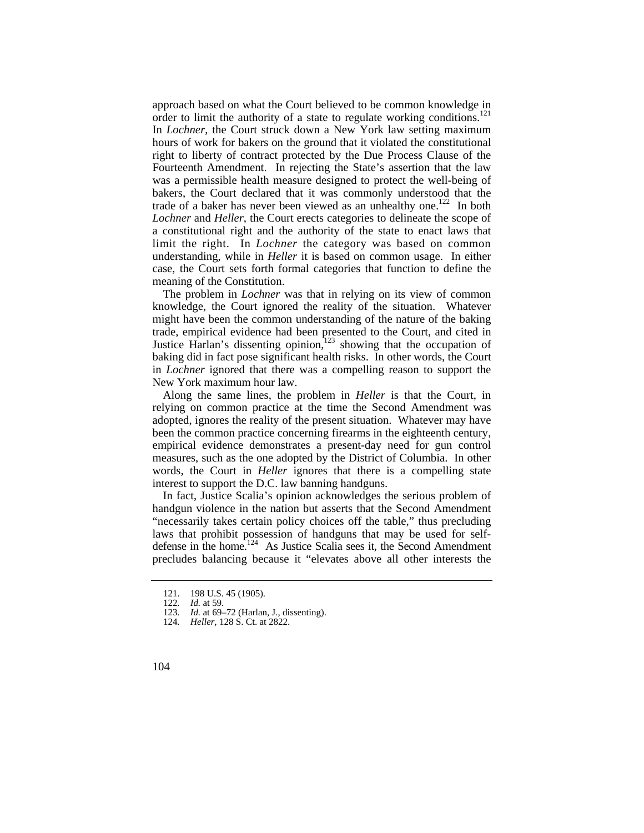trade of a baker has never been viewed as an unhealthy one.<sup>122</sup> In both approach based on what the Court believed to be common knowledge in order to limit the authority of a state to regulate working conditions.<sup>121</sup> In *Lochner*, the Court struck down a New York law setting maximum hours of work for bakers on the ground that it violated the constitutional right to liberty of contract protected by the Due Process Clause of the Fourteenth Amendment. In rejecting the State's assertion that the law was a permissible health measure designed to protect the well-being of bakers, the Court declared that it was commonly understood that the *Lochner* and *Heller*, the Court erects categories to delineate the scope of a constitutional right and the authority of the state to enact laws that limit the right. In *Lochner* the category was based on common understanding, while in *Heller* it is based on common usage. In either case, the Court sets forth formal categories that function to define the meaning of the Constitution.

The problem in *Lochner* was that in relying on its view of common knowledge, the Court ignored the reality of the situation. Whatever might have been the common understanding of the nature of the baking trade, empirical evidence had been presented to the Court, and cited in Justice Harlan's dissenting opinion,123 showing that the occupation of baking did in fact pose significant health risks. In other words, the Court in *Lochner* ignored that there was a compelling reason to support the New York maximum hour law.

 adopted, ignores the reality of the present situation. Whatever may have Along the same lines, the problem in *Heller* is that the Court, in relying on common practice at the time the Second Amendment was been the common practice concerning firearms in the eighteenth century, empirical evidence demonstrates a present-day need for gun control measures, such as the one adopted by the District of Columbia. In other words, the Court in *Heller* ignores that there is a compelling state interest to support the D.C. law banning handguns.

In fact, Justice Scalia's opinion acknowledges the serious problem of handgun violence in the nation but asserts that the Second Amendment "necessarily takes certain policy choices off the table," thus precluding laws that prohibit possession of handguns that may be used for selfdefense in the home.<sup>124</sup> As Justice Scalia sees it, the Second Amendment precludes balancing because it "elevates above all other interests the

<sup>121. 198</sup> U.S. 45 (1905).

<sup>122</sup>*. Id.* at 59.

*Id.* at 69–72 (Harlan, J., dissenting).

<sup>124</sup>*. Heller*, 128 S. Ct. at 2822.

<sup>104</sup>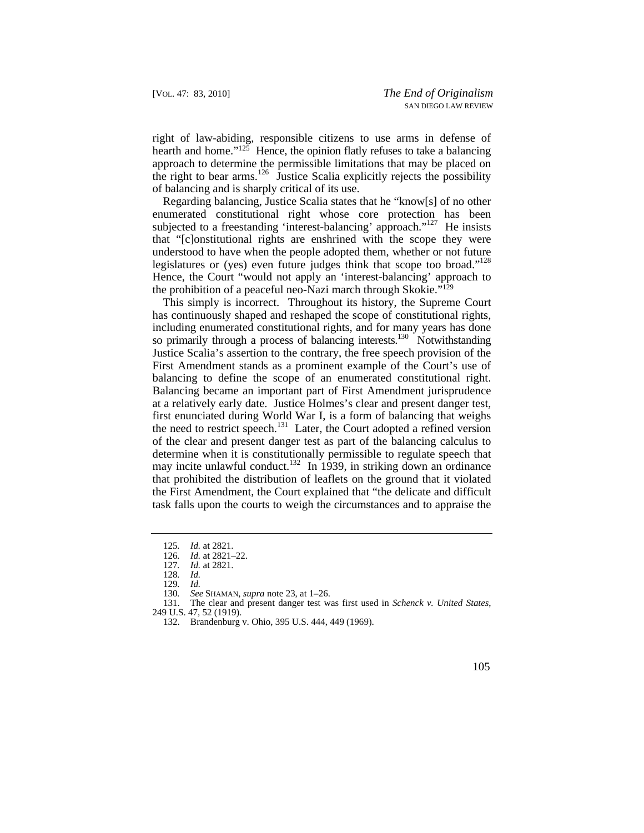right of law-abiding, responsible citizens to use arms in defense of hearth and home." $125$  Hence, the opinion flatly refuses to take a balancing approach to determine the permissible limitations that may be placed on the right to bear arms.<sup>126</sup> Justice Scalia explicitly rejects the possibility of balancing and is sharply critical of its use.

legislatures or (yes) even future judges think that scope too broad."<sup>128</sup> Regarding balancing, Justice Scalia states that he "know[s] of no other enumerated constitutional right whose core protection has been subjected to a freestanding 'interest-balancing' approach."<sup>127</sup> He insists that "[c]onstitutional rights are enshrined with the scope they were understood to have when the people adopted them, whether or not future Hence, the Court "would not apply an 'interest-balancing' approach to the prohibition of a peaceful neo-Nazi march through Skokie." $129$ 

 balancing to define the scope of an enumerated constitutional right. This simply is incorrect. Throughout its history, the Supreme Court has continuously shaped and reshaped the scope of constitutional rights, including enumerated constitutional rights, and for many years has done so primarily through a process of balancing interests.<sup>130</sup> Notwithstanding Justice Scalia's assertion to the contrary, the free speech provision of the First Amendment stands as a prominent example of the Court's use of Balancing became an important part of First Amendment jurisprudence at a relatively early date. Justice Holmes's clear and present danger test, first enunciated during World War I, is a form of balancing that weighs the need to restrict speech.<sup>131</sup> Later, the Court adopted a refined version of the clear and present danger test as part of the balancing calculus to determine when it is constitutionally permissible to regulate speech that may incite unlawful conduct.<sup>132</sup> In 1939, in striking down an ordinance that prohibited the distribution of leaflets on the ground that it violated the First Amendment, the Court explained that "the delicate and difficult task falls upon the courts to weigh the circumstances and to appraise the



<sup>125</sup>*. Id.* at 2821.

<sup>126</sup>*. Id.* at 2821–22.

<sup>127</sup>*. Id.* at 2821.

<sup>128</sup>*. Id.* 

<sup>129</sup>*. Id.* 

<sup>130</sup>*. See* SHAMAN, *supra* note 23, at 1–26.

<sup>131.</sup> The clear and present danger test was first used in *Schenck v. United States*,

<sup>249</sup> U.S. 47, 52 (1919).

<sup>132.</sup> Brandenburg v. Ohio, 395 U.S. 444, 449 (1969).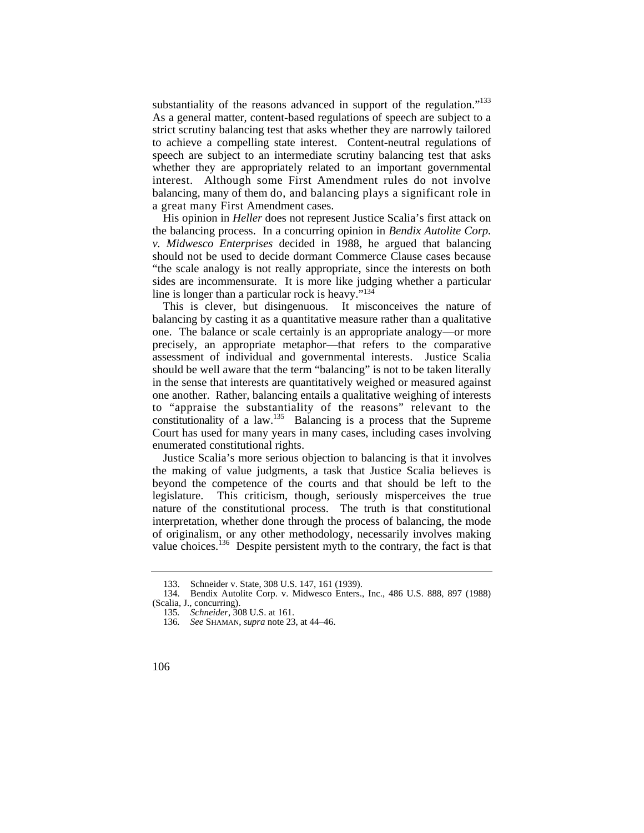balancing, many of them do, and balancing plays a significant role in a great many First Amendment cases. substantiality of the reasons advanced in support of the regulation."<sup>133</sup> As a general matter, content-based regulations of speech are subject to a strict scrutiny balancing test that asks whether they are narrowly tailored to achieve a compelling state interest. Content-neutral regulations of speech are subject to an intermediate scrutiny balancing test that asks whether they are appropriately related to an important governmental interest. Although some First Amendment rules do not involve

His opinion in *Heller* does not represent Justice Scalia's first attack on the balancing process. In a concurring opinion in *Bendix Autolite Corp. v. Midwesco Enterprises* decided in 1988, he argued that balancing should not be used to decide dormant Commerce Clause cases because "the scale analogy is not really appropriate, since the interests on both sides are incommensurate. It is more like judging whether a particular line is longer than a particular rock is heavy."134

This is clever, but disingenuous. It misconceives the nature of balancing by casting it as a quantitative measure rather than a qualitative one. The balance or scale certainly is an appropriate analogy—or more precisely, an appropriate metaphor—that refers to the comparative assessment of individual and governmental interests. Justice Scalia should be well aware that the term "balancing" is not to be taken literally in the sense that interests are quantitatively weighed or measured against one another. Rather, balancing entails a qualitative weighing of interests to "appraise the substantiality of the reasons" relevant to the constitutionality of a law. $135$  Balancing is a process that the Supreme Court has used for many years in many cases, including cases involving enumerated constitutional rights.

Justice Scalia's more serious objection to balancing is that it involves the making of value judgments, a task that Justice Scalia believes is beyond the competence of the courts and that should be left to the legislature. This criticism, though, seriously misperceives the true nature of the constitutional process. The truth is that constitutional interpretation, whether done through the process of balancing, the mode of originalism, or any other methodology, necessarily involves making value choices.<sup>136</sup> Despite persistent myth to the contrary, the fact is that

<sup>133.</sup> Schneider v. State, 308 U.S. 147, 161 (1939).

<sup>134.</sup> Bendix Autolite Corp. v. Midwesco Enters., Inc., 486 U.S. 888, 897 (1988) (Scalia, J., concurring).

<sup>135</sup>*. Schneider*, 308 U.S. at 161.

<sup>136</sup>*. See* SHAMAN, *supra* note 23, at 44–46.

<sup>106</sup>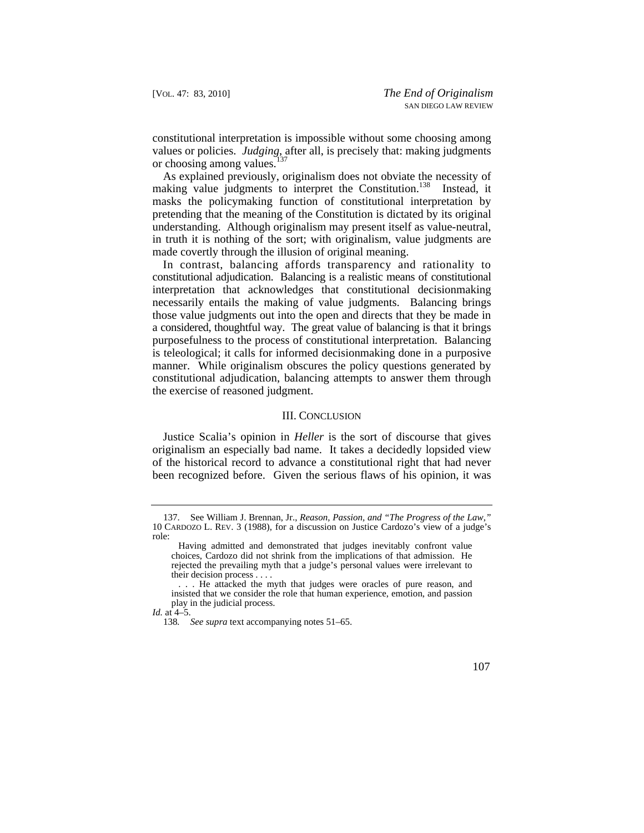constitutional interpretation is impossible without some choosing among values or policies. *Judging*, after all, is precisely that: making judgments or choosing among values.<sup>137</sup>

As explained previously, originalism does not obviate the necessity of making value judgments to interpret the Constitution.<sup>138</sup> Instead, it masks the policymaking function of constitutional interpretation by pretending that the meaning of the Constitution is dictated by its original understanding. Although originalism may present itself as value-neutral, in truth it is nothing of the sort; with originalism, value judgments are made covertly through the illusion of original meaning.

 constitutional adjudication. Balancing is a realistic means of constitutional In contrast, balancing affords transparency and rationality to interpretation that acknowledges that constitutional decisionmaking necessarily entails the making of value judgments. Balancing brings those value judgments out into the open and directs that they be made in a considered, thoughtful way. The great value of balancing is that it brings purposefulness to the process of constitutional interpretation. Balancing is teleological; it calls for informed decisionmaking done in a purposive manner. While originalism obscures the policy questions generated by constitutional adjudication, balancing attempts to answer them through the exercise of reasoned judgment.

## III. CONCLUSION

Justice Scalia's opinion in *Heller* is the sort of discourse that gives originalism an especially bad name. It takes a decidedly lopsided view of the historical record to advance a constitutional right that had never been recognized before. Given the serious flaws of his opinion, it was



<sup>137.</sup> See William J. Brennan, Jr., *Reason, Passion, and "The Progress of the Law*,*"*  10 CARDOZO L. REV. 3 (1988), for a discussion on Justice Cardozo's view of a judge's role:

Having admitted and demonstrated that judges inevitably confront value choices, Cardozo did not shrink from the implications of that admission. He rejected the prevailing myth that a judge's personal values were irrelevant to their decision process . . . .

<sup>. . .</sup> He attacked the myth that judges were oracles of pure reason, and insisted that we consider the role that human experience, emotion, and passion play in the judicial process.

*Id.* at 4–5.

<sup>138</sup>*. See supra* text accompanying notes 51–65.